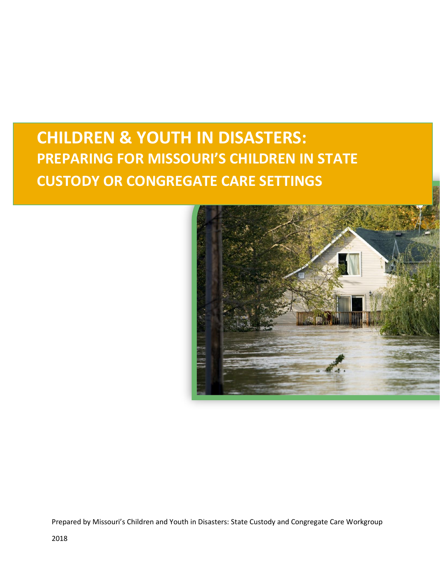# **CHILDREN & YOUTH IN DISASTERS: PREPARING FOR MISSOURI'S CHILDREN IN STATE CUSTODY OR CONGREGATE CARE SETTINGS**



Prepared by Missouri's Children and Youth in Disasters: State Custody and Congregate Care Workgroup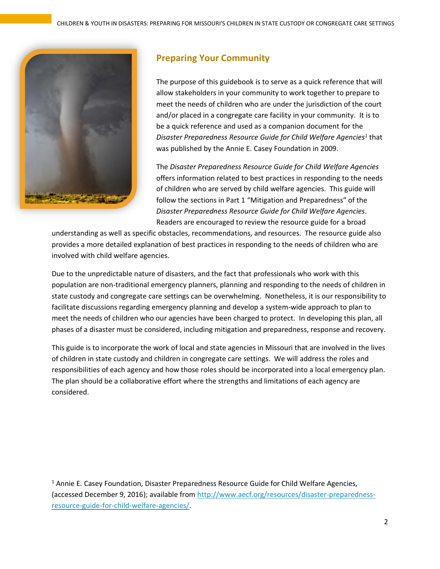

## <span id="page-1-0"></span>**Preparing Your Community**

The purpose of this guidebook is to serve as a quick reference that will allow stakeholders in your community to work together to prepare to meet the needs of children who are under the jurisdiction of the court and/or placed in a congregate care facility in your community. It is to be a quick reference and used as a companion document for the *Disaster Preparedness Resource Guide for Child Welfare Agencies<sup>1</sup>* that was published by the Annie E. Casey Foundation in 2009.

The *Disaster Preparedness Resource Guide for Child Welfare Agencies* offers information related to best practices in responding to the needs of children who are served by child welfare agencies. This guide will follow the sections in Part 1 "Mitigation and Preparedness" of the *Disaster Preparedness Resource Guide for Child Welfare Agencies*. Readers are encouraged to review the resource guide for a broad

understanding as well as specific obstacles, recommendations, and resources. The resource guide also provides a more detailed explanation of best practices in responding to the needs of children who are involved with child welfare agencies.

Due to the unpredictable nature of disasters, and the fact that professionals who work with this population are non-traditional emergency planners, planning and responding to the needs of children in state custody and congregate care settings can be overwhelming. Nonetheless, it is our responsibility to facilitate discussions regarding emergency planning and develop a system-wide approach to plan to meet the needs of children who our agencies have been charged to protect. In developing this plan, all phases of a disaster must be considered, including mitigation and preparedness, response and recovery.

This guide is to incorporate the work of local and state agencies in Missouri that are involved in the lives of children in state custody and children in congregate care settings. We will address the roles and responsibilities of each agency and how those roles should be incorporated into a local emergency plan. The plan should be a collaborative effort where the strengths and limitations of each agency are considered.

 $<sup>1</sup>$  Annie E. Casey Foundation, Disaster Preparedness Resource Guide for Child Welfare Agencies,</sup> (accessed December 9, 2016); available from [http://www.aecf.org/resources/disaster-preparedness](http://www.aecf.org/resources/disaster-preparedness-resource-guide-for-child-welfare-agencies/)[resource-guide-for-child-welfare-agencies/.](http://www.aecf.org/resources/disaster-preparedness-resource-guide-for-child-welfare-agencies/)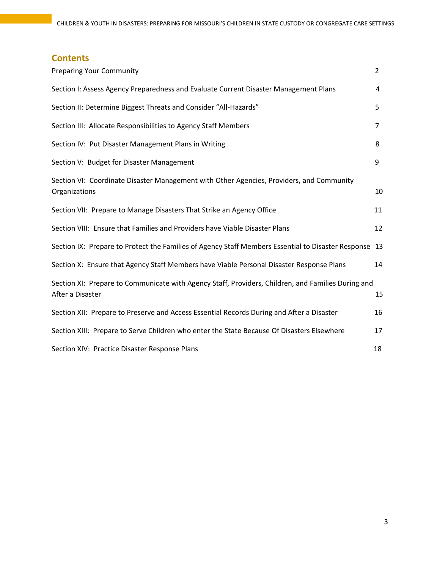### **Contents**

| <b>Preparing Your Community</b>                                                                                        | $\overline{2}$ |
|------------------------------------------------------------------------------------------------------------------------|----------------|
| Section I: Assess Agency Preparedness and Evaluate Current Disaster Management Plans                                   | 4              |
| Section II: Determine Biggest Threats and Consider "All-Hazards"                                                       | 5              |
| Section III: Allocate Responsibilities to Agency Staff Members                                                         | $\overline{7}$ |
| Section IV: Put Disaster Management Plans in Writing                                                                   | 8              |
| Section V: Budget for Disaster Management                                                                              | 9              |
| Section VI: Coordinate Disaster Management with Other Agencies, Providers, and Community<br>Organizations              | 10             |
| Section VII: Prepare to Manage Disasters That Strike an Agency Office                                                  | 11             |
| Section VIII: Ensure that Families and Providers have Viable Disaster Plans                                            | 12             |
| Section IX: Prepare to Protect the Families of Agency Staff Members Essential to Disaster Response 13                  |                |
| Section X: Ensure that Agency Staff Members have Viable Personal Disaster Response Plans                               | 14             |
| Section XI: Prepare to Communicate with Agency Staff, Providers, Children, and Families During and<br>After a Disaster | 15             |
| Section XII: Prepare to Preserve and Access Essential Records During and After a Disaster                              | 16             |
| Section XIII: Prepare to Serve Children who enter the State Because Of Disasters Elsewhere                             | 17             |
| Section XIV: Practice Disaster Response Plans                                                                          | 18             |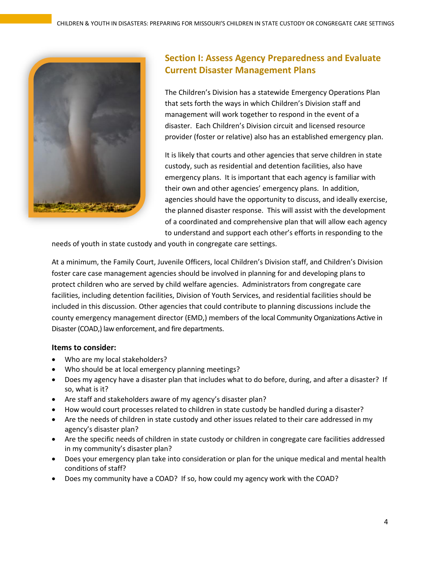

# <span id="page-3-0"></span>**Section I: Assess Agency Preparedness and Evaluate Current Disaster Management Plans**

The Children's Division has a statewide Emergency Operations Plan that sets forth the ways in which Children's Division staff and management will work together to respond in the event of a disaster. Each Children's Division circuit and licensed resource provider (foster or relative) also has an established emergency plan.

It is likely that courts and other agencies that serve children in state custody, such as residential and detention facilities, also have emergency plans. It is important that each agency is familiar with their own and other agencies' emergency plans. In addition, agencies should have the opportunity to discuss, and ideally exercise, the planned disaster response. This will assist with the development of a coordinated and comprehensive plan that will allow each agency to understand and support each other's efforts in responding to the

needs of youth in state custody and youth in congregate care settings.

At a minimum, the Family Court, Juvenile Officers, local Children's Division staff, and Children's Division foster care case management agencies should be involved in planning for and developing plans to protect children who are served by child welfare agencies. Administrators from congregate care facilities, including detention facilities, Division of Youth Services, and residential facilities should be included in this discussion. Other agencies that could contribute to planning discussions include the county emergency management director (EMD,) members of the local Community Organizations Active in Disaster (COAD,) law enforcement, and fire departments.

- Who are my local stakeholders?
- Who should be at local emergency planning meetings?
- Does my agency have a disaster plan that includes what to do before, during, and after a disaster? If so, what is it?
- Are staff and stakeholders aware of my agency's disaster plan?
- How would court processes related to children in state custody be handled during a disaster?
- Are the needs of children in state custody and other issues related to their care addressed in my agency's disaster plan?
- Are the specific needs of children in state custody or children in congregate care facilities addressed in my community's disaster plan?
- Does your emergency plan take into consideration or plan for the unique medical and mental health conditions of staff?
- Does my community have a COAD? If so, how could my agency work with the COAD?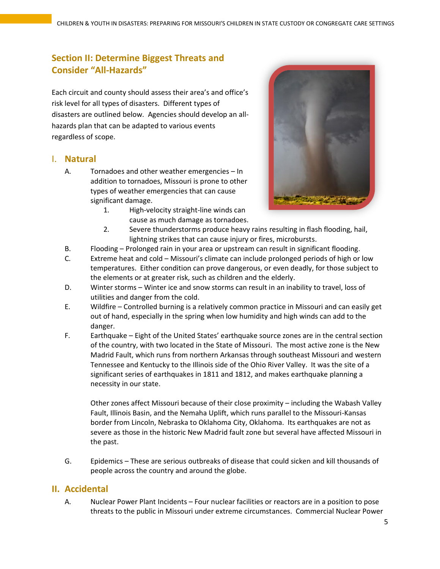### <span id="page-4-0"></span>**Section II: Determine Biggest Threats and Consider "All-Hazards"**

Each circuit and county should assess their area's and office's risk level for all types of disasters. Different types of disasters are outlined below. Agencies should develop an allhazards plan that can be adapted to various events regardless of scope.

#### I. **Natural**

- A. Tornadoes and other weather emergencies In addition to tornadoes, Missouri is prone to other types of weather emergencies that can cause significant damage.
	- 1. High-velocity straight-line winds can cause as much damage as tornadoes.



- 2. Severe thunderstorms produce heavy rains resulting in flash flooding, hail, lightning strikes that can cause injury or fires, microbursts.
- B. Flooding Prolonged rain in your area or upstream can result in significant flooding.
- C. Extreme heat and cold Missouri's climate can include prolonged periods of high or low temperatures. Either condition can prove dangerous, or even deadly, for those subject to the elements or at greater risk, such as children and the elderly.
- D. Winter storms Winter ice and snow storms can result in an inability to travel, loss of utilities and danger from the cold.
- E. Wildfire Controlled burning is a relatively common practice in Missouri and can easily get out of hand, especially in the spring when low humidity and high winds can add to the danger.
- F. Earthquake Eight of the United States' earthquake source zones are in the central section of the country, with two located in the State of Missouri. The most active zone is the New Madrid Fault, which runs from northern Arkansas through southeast Missouri and western Tennessee and Kentucky to the Illinois side of the Ohio River Valley. It was the site of a significant series of earthquakes in 1811 and 1812, and makes earthquake planning a necessity in our state.

Other zones affect Missouri because of their close proximity – including the Wabash Valley Fault, Illinois Basin, and the Nemaha Uplift, which runs parallel to the Missouri-Kansas border from Lincoln, Nebraska to Oklahoma City, Oklahoma. Its earthquakes are not as severe as those in the historic New Madrid fault zone but several have affected Missouri in the past.

G. Epidemics – These are serious outbreaks of disease that could sicken and kill thousands of people across the country and around the globe.

#### **II. Accidental**

A. Nuclear Power Plant Incidents – Four nuclear facilities or reactors are in a position to pose threats to the public in Missouri under extreme circumstances. Commercial Nuclear Power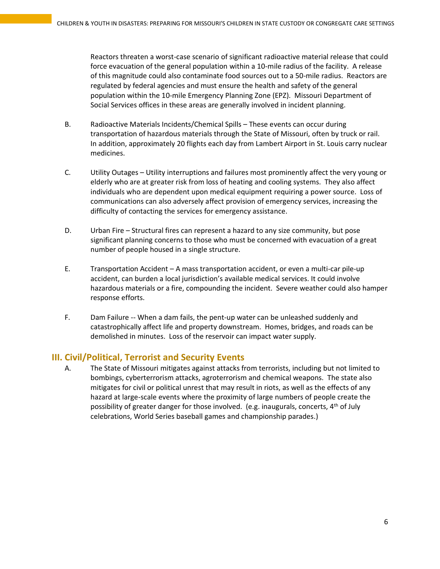Reactors threaten a worst-case scenario of significant radioactive material release that could force evacuation of the general population within a 10-mile radius of the facility. A release of this magnitude could also contaminate food sources out to a 50-mile radius. Reactors are regulated by federal agencies and must ensure the health and safety of the general population within the 10-mile Emergency Planning Zone (EPZ). Missouri Department of Social Services offices in these areas are generally involved in incident planning.

- B. Radioactive Materials Incidents/Chemical Spills These events can occur during transportation of hazardous materials through the State of Missouri, often by truck or rail. In addition, approximately 20 flights each day from Lambert Airport in St. Louis carry nuclear medicines.
- C. Utility Outages Utility interruptions and failures most prominently affect the very young or elderly who are at greater risk from loss of heating and cooling systems. They also affect individuals who are dependent upon medical equipment requiring a power source. Loss of communications can also adversely affect provision of emergency services, increasing the difficulty of contacting the services for emergency assistance.
- D. Urban Fire Structural fires can represent a hazard to any size community, but pose significant planning concerns to those who must be concerned with evacuation of a great number of people housed in a single structure.
- E. Transportation Accident A mass transportation accident, or even a multi-car pile-up accident, can burden a local jurisdiction's available medical services. It could involve hazardous materials or a fire, compounding the incident. Severe weather could also hamper response efforts.
- F. Dam Failure -- When a dam fails, the pent-up water can be unleashed suddenly and catastrophically affect life and property downstream. Homes, bridges, and roads can be demolished in minutes. Loss of the reservoir can impact water supply.

### **III. Civil/Political, Terrorist and Security Events**

A. The State of Missouri mitigates against attacks from terrorists, including but not limited to bombings, cyberterrorism attacks, agroterrorism and chemical weapons. The state also mitigates for civil or political unrest that may result in riots, as well as the effects of any hazard at large-scale events where the proximity of large numbers of people create the possibility of greater danger for those involved. (e.g. inaugurals, concerts, 4<sup>th</sup> of July celebrations, World Series baseball games and championship parades.)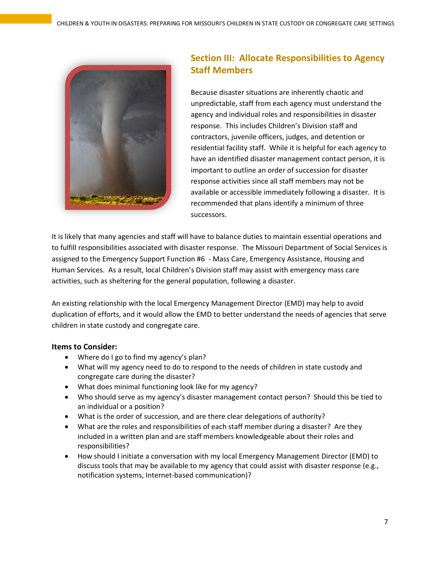

# <span id="page-6-0"></span>**Section III: Allocate Responsibilities to Agency Staff Members**

Because disaster situations are inherently chaotic and unpredictable, staff from each agency must understand the agency and individual roles and responsibilities in disaster response. This includes Children's Division staff and contractors, juvenile officers, judges, and detention or residential facility staff. While it is helpful for each agency to have an identified disaster management contact person, it is important to outline an order of succession for disaster response activities since all staff members may not be available or accessible immediately following a disaster. It is recommended that plans identify a minimum of three successors.

It is likely that many agencies and staff will have to balance duties to maintain essential operations and to fulfill responsibilities associated with disaster response. The Missouri Department of Social Services is assigned to the Emergency Support Function #6 - Mass Care, Emergency Assistance, Housing and Human Services. As a result, local Children's Division staff may assist with emergency mass care activities, such as sheltering for the general population, following a disaster.

An existing relationship with the local Emergency Management Director (EMD) may help to avoid duplication of efforts, and it would allow the EMD to better understand the needs of agencies that serve children in state custody and congregate care.

- Where do I go to find my agency's plan?
- What will my agency need to do to respond to the needs of children in state custody and congregate care during the disaster?
- What does minimal functioning look like for my agency?
- Who should serve as my agency's disaster management contact person? Should this be tied to an individual or a position?
- What is the order of succession, and are there clear delegations of authority?
- What are the roles and responsibilities of each staff member during a disaster? Are they included in a written plan and are staff members knowledgeable about their roles and responsibilities?
- How should I initiate a conversation with my local Emergency Management Director (EMD) to discuss tools that may be available to my agency that could assist with disaster response (e.g., notification systems, Internet-based communication)?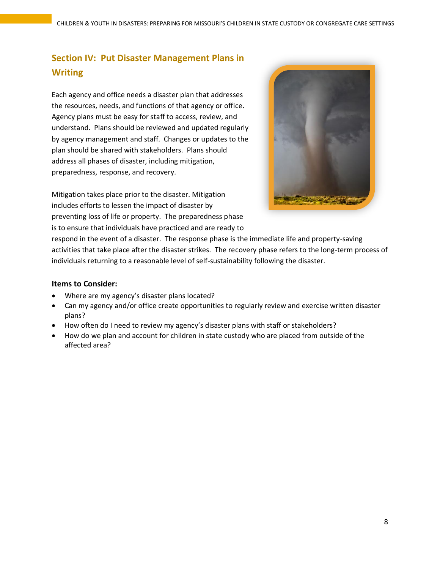# <span id="page-7-0"></span>**Section IV: Put Disaster Management Plans in Writing**

Each agency and office needs a disaster plan that addresses the resources, needs, and functions of that agency or office. Agency plans must be easy for staff to access, review, and understand. Plans should be reviewed and updated regularly by agency management and staff. Changes or updates to the plan should be shared with stakeholders. Plans should address all phases of disaster, including mitigation, preparedness, response, and recovery.

Mitigation takes place prior to the disaster. Mitigation includes efforts to lessen the impact of disaster by preventing loss of life or property. The preparedness phase is to ensure that individuals have practiced and are ready to



respond in the event of a disaster. The response phase is the immediate life and property-saving activities that take place after the disaster strikes. The recovery phase refers to the long-term process of individuals returning to a reasonable level of self-sustainability following the disaster.

- Where are my agency's disaster plans located?
- Can my agency and/or office create opportunities to regularly review and exercise written disaster plans?
- How often do I need to review my agency's disaster plans with staff or stakeholders?
- How do we plan and account for children in state custody who are placed from outside of the affected area?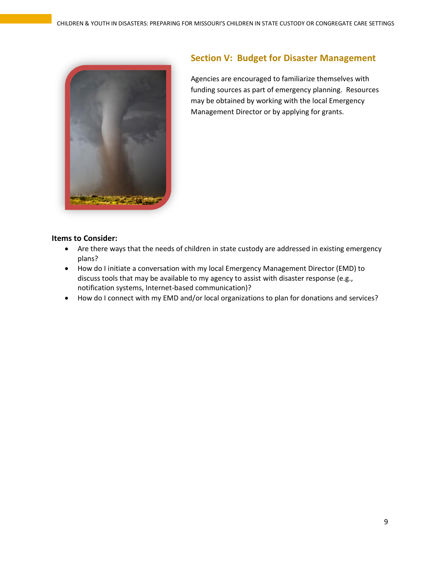

### <span id="page-8-0"></span>**Section V: Budget for Disaster Management**

Agencies are encouraged to familiarize themselves with funding sources as part of emergency planning. Resources may be obtained by working with the local Emergency Management Director or by applying for grants.

- Are there ways that the needs of children in state custody are addressed in existing emergency plans?
- How do I initiate a conversation with my local Emergency Management Director (EMD) to discuss tools that may be available to my agency to assist with disaster response (e.g., notification systems, Internet-based communication)?
- How do I connect with my EMD and/or local organizations to plan for donations and services?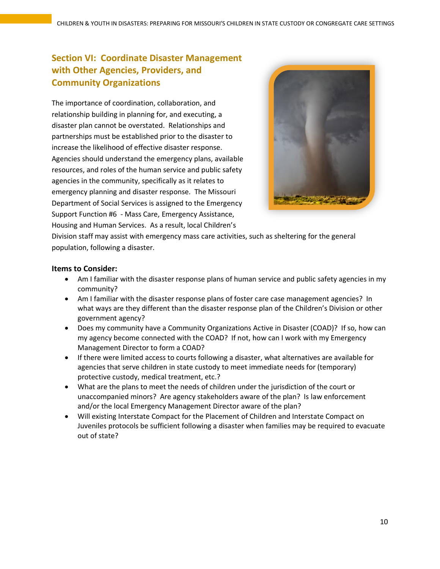### <span id="page-9-0"></span>**Section VI: Coordinate Disaster Management with Other Agencies, Providers, and Community Organizations**

The importance of coordination, collaboration, and relationship building in planning for, and executing, a disaster plan cannot be overstated. Relationships and partnerships must be established prior to the disaster to increase the likelihood of effective disaster response. Agencies should understand the emergency plans, available resources, and roles of the human service and public safety agencies in the community, specifically as it relates to emergency planning and disaster response. The Missouri Department of Social Services is assigned to the Emergency Support Function #6 - Mass Care, Emergency Assistance, Housing and Human Services. As a result, local Children's



Division staff may assist with emergency mass care activities, such as sheltering for the general population, following a disaster.

- Am I familiar with the disaster response plans of human service and public safety agencies in my community?
- Am I familiar with the disaster response plans of foster care case management agencies? In what ways are they different than the disaster response plan of the Children's Division or other government agency?
- Does my community have a Community Organizations Active in Disaster (COAD)? If so, how can my agency become connected with the COAD? If not, how can I work with my Emergency Management Director to form a COAD?
- If there were limited access to courts following a disaster, what alternatives are available for agencies that serve children in state custody to meet immediate needs for (temporary) protective custody, medical treatment, etc.?
- What are the plans to meet the needs of children under the jurisdiction of the court or unaccompanied minors? Are agency stakeholders aware of the plan? Is law enforcement and/or the local Emergency Management Director aware of the plan?
- Will existing Interstate Compact for the Placement of Children and Interstate Compact on Juveniles protocols be sufficient following a disaster when families may be required to evacuate out of state?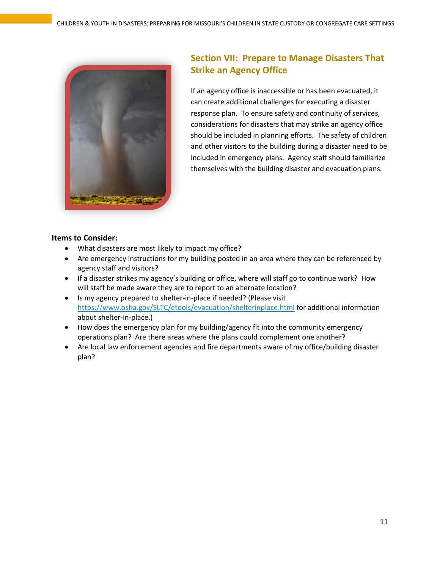

# <span id="page-10-0"></span>**Section VII: Prepare to Manage Disasters That Strike an Agency Office**

If an agency office is inaccessible or has been evacuated, it can create additional challenges for executing a disaster response plan. To ensure safety and continuity of services, considerations for disasters that may strike an agency office should be included in planning efforts. The safety of children and other visitors to the building during a disaster need to be included in emergency plans. Agency staff should familiarize themselves with the building disaster and evacuation plans.

- What disasters are most likely to impact my office?
- Are emergency instructions for my building posted in an area where they can be referenced by agency staff and visitors?
- If a disaster strikes my agency's building or office, where will staff go to continue work? How will staff be made aware they are to report to an alternate location?
- Is my agency prepared to shelter-in-place if needed? (Please visit <https://www.osha.gov/SLTC/etools/evacuation/shelterinplace.html> for additional information about shelter-in-place.)
- How does the emergency plan for my building/agency fit into the community emergency operations plan? Are there areas where the plans could complement one another?
- Are local law enforcement agencies and fire departments aware of my office/building disaster plan?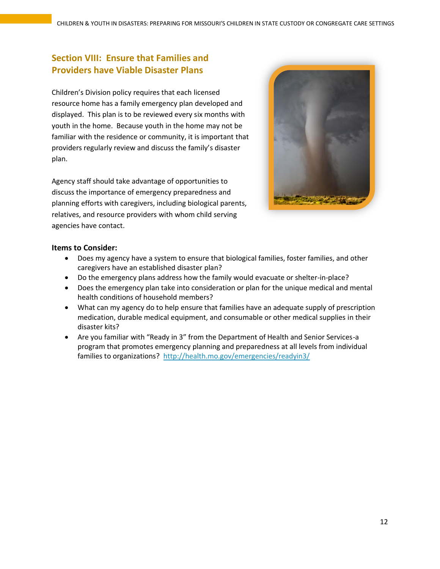## <span id="page-11-0"></span>**Section VIII: Ensure that Families and Providers have Viable Disaster Plans**

Children's Division policy requires that each licensed resource home has a family emergency plan developed and displayed. This plan is to be reviewed every six months with youth in the home. Because youth in the home may not be familiar with the residence or community, it is important that providers regularly review and discuss the family's disaster plan.

Agency staff should take advantage of opportunities to discuss the importance of emergency preparedness and planning efforts with caregivers, including biological parents, relatives, and resource providers with whom child serving agencies have contact.



- Does my agency have a system to ensure that biological families, foster families, and other caregivers have an established disaster plan?
- Do the emergency plans address how the family would evacuate or shelter-in-place?
- Does the emergency plan take into consideration or plan for the unique medical and mental health conditions of household members?
- What can my agency do to help ensure that families have an adequate supply of prescription medication, durable medical equipment, and consumable or other medical supplies in their disaster kits?
- Are you familiar with "Ready in 3" from the Department of Health and Senior Services-a program that promotes emergency planning and preparedness at all levels from individual families to organizations? <http://health.mo.gov/emergencies/readyin3/>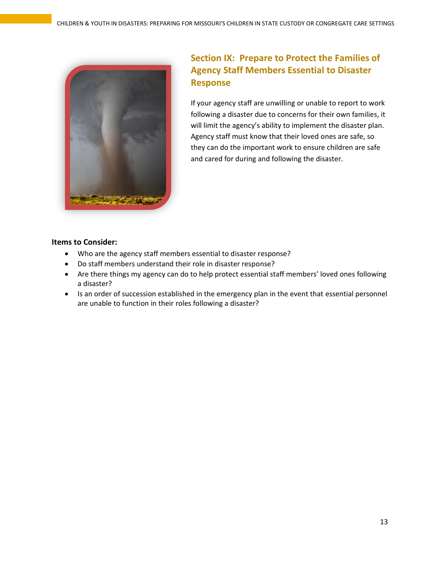

# <span id="page-12-0"></span>**Section IX: Prepare to Protect the Families of Agency Staff Members Essential to Disaster Response**

If your agency staff are unwilling or unable to report to work following a disaster due to concerns for their own families, it will limit the agency's ability to implement the disaster plan. Agency staff must know that their loved ones are safe, so they can do the important work to ensure children are safe and cared for during and following the disaster.

- Who are the agency staff members essential to disaster response?
- Do staff members understand their role in disaster response?
- Are there things my agency can do to help protect essential staff members' loved ones following a disaster?
- Is an order of succession established in the emergency plan in the event that essential personnel are unable to function in their roles following a disaster?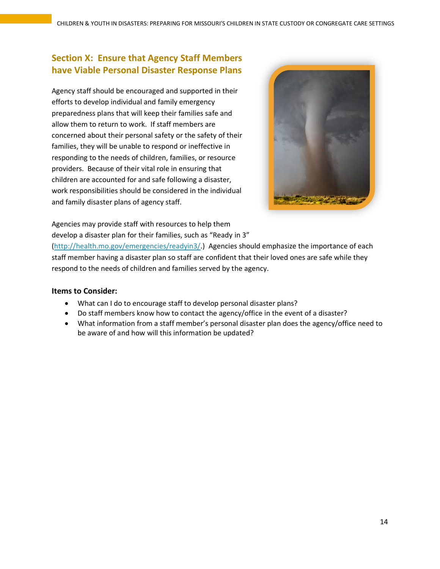### <span id="page-13-0"></span>**Section X: Ensure that Agency Staff Members have Viable Personal Disaster Response Plans**

Agency staff should be encouraged and supported in their efforts to develop individual and family emergency preparedness plans that will keep their families safe and allow them to return to work. If staff members are concerned about their personal safety or the safety of their families, they will be unable to respond or ineffective in responding to the needs of children, families, or resource providers. Because of their vital role in ensuring that children are accounted for and safe following a disaster, work responsibilities should be considered in the individual and family disaster plans of agency staff.



#### Agencies may provide staff with resources to help them

develop a disaster plan for their families, such as "Ready in 3"

[\(http://health.mo.gov/emergencies/readyin3/.](http://health.mo.gov/emergencies/readyin3/)) Agencies should emphasize the importance of each staff member having a disaster plan so staff are confident that their loved ones are safe while they respond to the needs of children and families served by the agency.

- What can I do to encourage staff to develop personal disaster plans?
- Do staff members know how to contact the agency/office in the event of a disaster?
- What information from a staff member's personal disaster plan does the agency/office need to be aware of and how will this information be updated?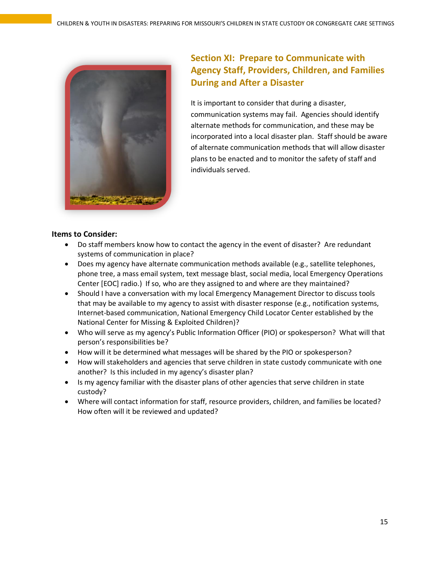

# <span id="page-14-0"></span>**Section XI: Prepare to Communicate with Agency Staff, Providers, Children, and Families During and After a Disaster**

It is important to consider that during a disaster, communication systems may fail. Agencies should identify alternate methods for communication, and these may be incorporated into a local disaster plan. Staff should be aware of alternate communication methods that will allow disaster plans to be enacted and to monitor the safety of staff and individuals served.

- Do staff members know how to contact the agency in the event of disaster? Are redundant systems of communication in place?
- Does my agency have alternate communication methods available (e.g., satellite telephones, phone tree, a mass email system, text message blast, social media, local Emergency Operations Center [EOC] radio.) If so, who are they assigned to and where are they maintained?
- Should I have a conversation with my local Emergency Management Director to discuss tools that may be available to my agency to assist with disaster response (e.g., notification systems, Internet-based communication, National Emergency Child Locator Center established by the National Center for Missing & Exploited Children)?
- Who will serve as my agency's Public Information Officer (PIO) or spokesperson? What will that person's responsibilities be?
- How will it be determined what messages will be shared by the PIO or spokesperson?
- How will stakeholders and agencies that serve children in state custody communicate with one another? Is this included in my agency's disaster plan?
- Is my agency familiar with the disaster plans of other agencies that serve children in state custody?
- Where will contact information for staff, resource providers, children, and families be located? How often will it be reviewed and updated?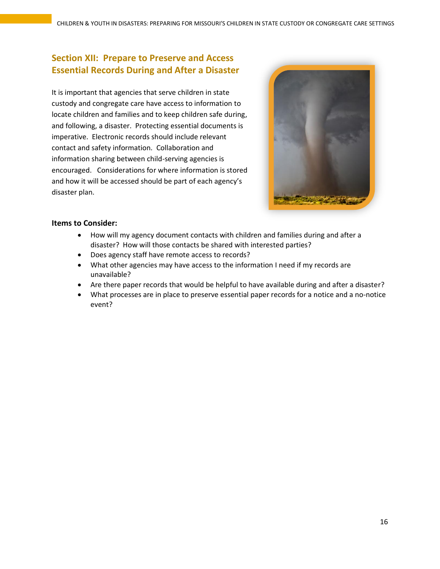### <span id="page-15-0"></span>**Section XII: Prepare to Preserve and Access Essential Records During and After a Disaster**

It is important that agencies that serve children in state custody and congregate care have access to information to locate children and families and to keep children safe during, and following, a disaster. Protecting essential documents is imperative. Electronic records should include relevant contact and safety information. Collaboration and information sharing between child-serving agencies is encouraged. Considerations for where information is stored and how it will be accessed should be part of each agency's disaster plan.



- How will my agency document contacts with children and families during and after a disaster? How will those contacts be shared with interested parties?
- Does agency staff have remote access to records?
- What other agencies may have access to the information I need if my records are unavailable?
- Are there paper records that would be helpful to have available during and after a disaster?
- What processes are in place to preserve essential paper records for a notice and a no-notice event?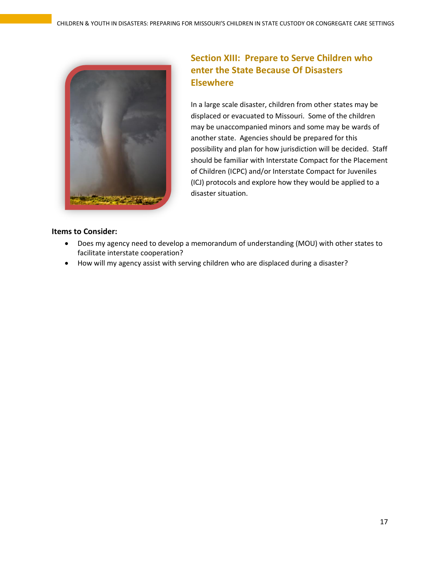

### <span id="page-16-0"></span>**Section XIII: Prepare to Serve Children who enter the State Because Of Disasters Elsewhere**

In a large scale disaster, children from other states may be displaced or evacuated to Missouri. Some of the children may be unaccompanied minors and some may be wards of another state. Agencies should be prepared for this possibility and plan for how jurisdiction will be decided. Staff should be familiar with Interstate Compact for the Placement of Children (ICPC) and/or Interstate Compact for Juveniles (ICJ) protocols and explore how they would be applied to a disaster situation.

- Does my agency need to develop a memorandum of understanding (MOU) with other states to facilitate interstate cooperation?
- How will my agency assist with serving children who are displaced during a disaster?